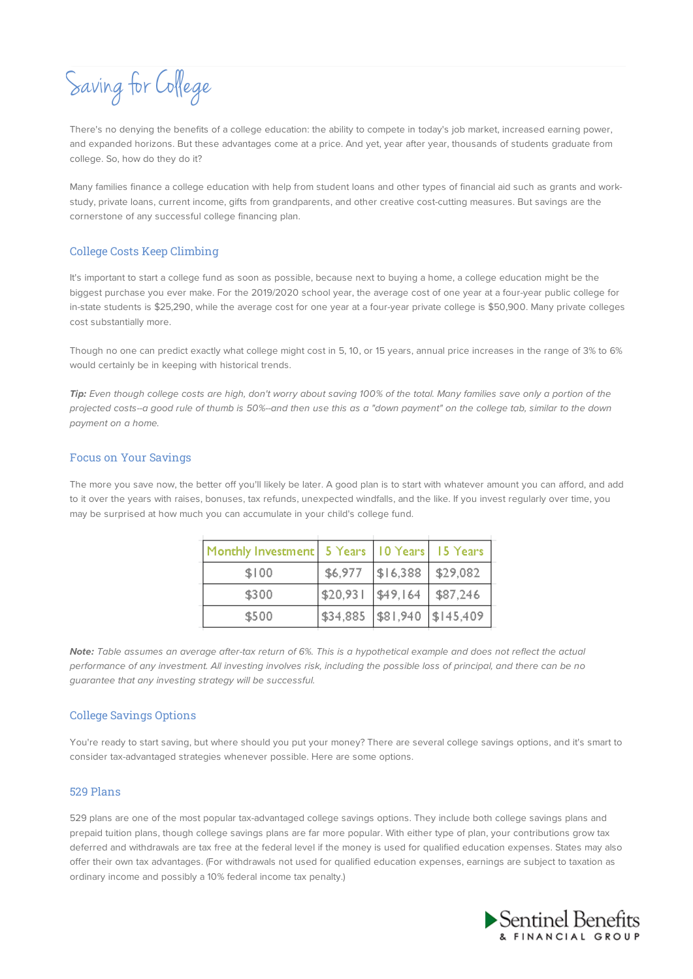Saving for College

There's no denying the benefits of a college education: the ability to compete in today's job market, increased earning power, and expanded horizons. But these advantages come at a price. And yet, year after year, thousands of students graduate from college. So, how do they do it?

Many families finance a college education with help from student loans and other types of financial aid such as grants and workstudy, private loans, current income, gifts from grandparents, and other creative cost-cutting measures. But savings are the cornerstone of any successful college financing plan.

## College Costs Keep Climbing

It's important to start a college fund as soon as possible, because next to buying a home, a college education might be the biggest purchase you ever make. For the 2019/2020 school year, the average cost of one year at a four-year public college for in-state students is \$25,290, while the average cost for one year at a four-year private college is \$50,900. Many private colleges cost substantially more.

Though no one can predict exactly what college might cost in 5, 10, or 15 years, annual price increases in the range of 3% to 6% would certainly be in keeping with historical trends.

**Tip:** Even though college costs are high, don't worry about saving 100% of the total. Many families save only a portion of the projected costs--a good rule of thumb is 50%--and then use this as a "down payment" on the college tab, similar to the down payment on a home.

### Focus on Your Savings

The more you save now, the better off you'll likely be later. A good plan is to start with whatever amount you can afford, and add to it over the years with raises, bonuses, tax refunds, unexpected windfalls, and the like. If you invest regularly over time, you may be surprised at how much you can accumulate in your child's college fund.

| Monthly Investment   5 Years   10 Years   15 Years |                       |          |                               |
|----------------------------------------------------|-----------------------|----------|-------------------------------|
| \$100                                              | \$6,977               | \$16,388 | \$29,082                      |
| \$300                                              | $ $20,931$ $ $49,164$ |          | \$87,246                      |
| \$500                                              |                       |          | \$34,885  \$81,940  \$145,409 |

**Note:** Table assumes an average after-tax return of 6%. This is a hypothetical example and does not reflect the actual performance of any investment. All investing involves risk, including the possible loss of principal, and there can be no guarantee that any investing strategy will be successful.

### College Savings Options

You're ready to start saving, but where should you put your money? There are several college savings options, and it's smart to consider tax-advantaged strategies whenever possible. Here are some options.

## 529 Plans

529 plans are one of the most popular tax-advantaged college savings options. They include both college savings plans and prepaid tuition plans, though college savings plans are far more popular. With either type of plan, your contributions grow tax deferred and withdrawals are tax free at the federal level if the money is used for qualified education expenses. States may also offer their own tax advantages. (For withdrawals not used for qualified education expenses, earnings are subject to taxation as ordinary income and possibly a 10% federal income tax penalty.)